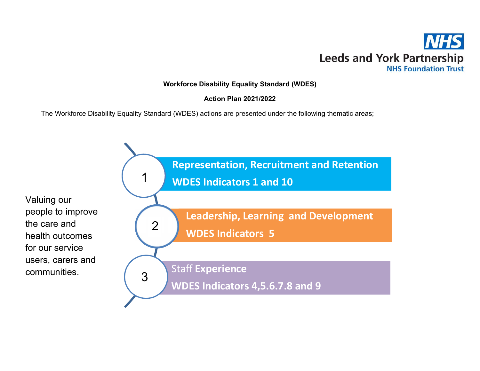

# Workforce Disability Equality Standard (WDES)

# Action Plan 2021/2022

The Workforce Disability Equality Standard (WDES) actions are presented under the following thematic areas;



Valuing our people to improve the care and health outcomes for our service users, carers and communities.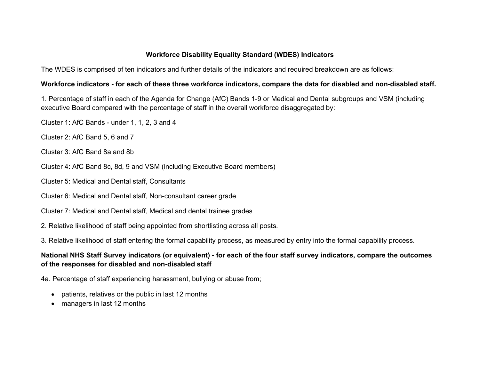## Workforce Disability Equality Standard (WDES) Indicators

The WDES is comprised of ten indicators and further details of the indicators and required breakdown are as follows:

#### Workforce indicators - for each of these three workforce indicators, compare the data for disabled and non-disabled staff.

1. Percentage of staff in each of the Agenda for Change (AfC) Bands 1-9 or Medical and Dental subgroups and VSM (including executive Board compared with the percentage of staff in the overall workforce disaggregated by:

Cluster 1: AfC Bands - under 1, 1, 2, 3 and 4

Cluster 2: AfC Band 5, 6 and 7

Cluster 3: AfC Band 8a and 8b

Cluster 4: AfC Band 8c, 8d, 9 and VSM (including Executive Board members)

Cluster 5: Medical and Dental staff, Consultants

Cluster 6: Medical and Dental staff, Non-consultant career grade

Cluster 7: Medical and Dental staff, Medical and dental trainee grades

2. Relative likelihood of staff being appointed from shortlisting across all posts.

3. Relative likelihood of staff entering the formal capability process, as measured by entry into the formal capability process.

# National NHS Staff Survey indicators (or equivalent) - for each of the four staff survey indicators, compare the outcomes of the responses for disabled and non-disabled staff

4a. Percentage of staff experiencing harassment, bullying or abuse from;

- patients, relatives or the public in last 12 months
- managers in last 12 months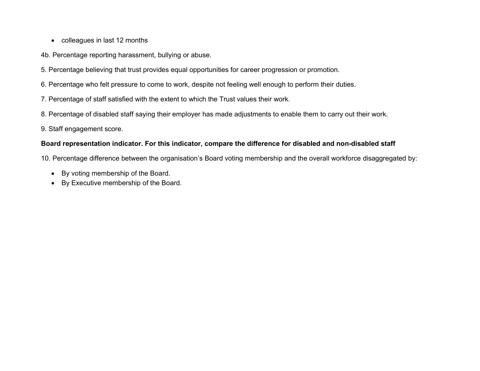- colleagues in last 12 months
- 4b. Percentage reporting harassment, bullying or abuse.
- 5. Percentage believing that trust provides equal opportunities for career progression or promotion.
- 6. Percentage who felt pressure to come to work, despite not feeling well enough to perform their duties.
- 7. Percentage of staff satisfied with the extent to which the Trust values their work.
- 8. Percentage of disabled staff saying their employer has made adjustments to enable them to carry out their work.
- 9. Staff engagement score.

### Board representation indicator. For this indicator, compare the difference for disabled and non-disabled staff

10. Percentage difference between the organisation's Board voting membership and the overall workforce disaggregated by:

- By voting membership of the Board.
- By Executive membership of the Board.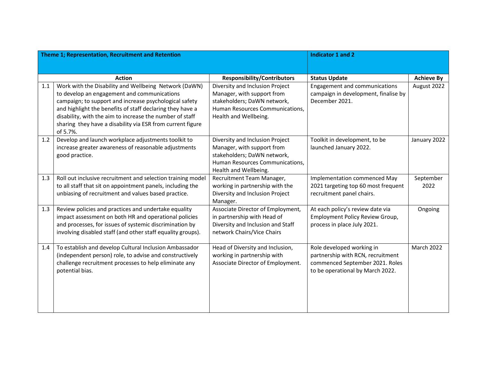| Theme 1; Representation, Recruitment and Retention |                                                                                                                                                                                                                                                                                                                                                                   |                                                                                                                                                          | <b>Indicator 1 and 2</b>                                                                                                              |                   |
|----------------------------------------------------|-------------------------------------------------------------------------------------------------------------------------------------------------------------------------------------------------------------------------------------------------------------------------------------------------------------------------------------------------------------------|----------------------------------------------------------------------------------------------------------------------------------------------------------|---------------------------------------------------------------------------------------------------------------------------------------|-------------------|
|                                                    |                                                                                                                                                                                                                                                                                                                                                                   |                                                                                                                                                          |                                                                                                                                       |                   |
|                                                    | <b>Action</b>                                                                                                                                                                                                                                                                                                                                                     | <b>Responsibility/Contributors</b>                                                                                                                       | <b>Status Update</b>                                                                                                                  | <b>Achieve By</b> |
| 1.1                                                | Work with the Disability and Wellbeing Network (DaWN)<br>to develop an engagement and communications<br>campaign; to support and increase psychological safety<br>and highlight the benefits of staff declaring they have a<br>disability, with the aim to increase the number of staff<br>sharing they have a disability via ESR from current figure<br>of 5.7%. | Diversity and Inclusion Project<br>Manager, with support from<br>stakeholders; DaWN network,<br>Human Resources Communications,<br>Health and Wellbeing. | Engagement and communications<br>campaign in development, finalise by<br>December 2021.                                               | August 2022       |
| 1.2                                                | Develop and launch workplace adjustments toolkit to<br>increase greater awareness of reasonable adjustments<br>good practice.                                                                                                                                                                                                                                     | Diversity and Inclusion Project<br>Manager, with support from<br>stakeholders; DaWN network,<br>Human Resources Communications,<br>Health and Wellbeing. | Toolkit in development, to be<br>launched January 2022.                                                                               | January 2022      |
| 1.3                                                | Roll out inclusive recruitment and selection training model<br>to all staff that sit on appointment panels, including the<br>unbiasing of recruitment and values based practice.                                                                                                                                                                                  | Recruitment Team Manager,<br>working in partnership with the<br>Diversity and Inclusion Project<br>Manager.                                              | Implementation commenced May<br>2021 targeting top 60 most frequent<br>recruitment panel chairs.                                      | September<br>2022 |
| 1.3                                                | Review policies and practices and undertake equality<br>impact assessment on both HR and operational policies<br>and processes, for issues of systemic discrimination by<br>involving disabled staff (and other staff equality groups).                                                                                                                           | Associate Director of Employment,<br>in partnership with Head of<br>Diversity and Inclusion and Staff<br>network Chairs/Vice Chairs                      | At each policy's review date via<br>Employment Policy Review Group,<br>process in place July 2021.                                    | Ongoing           |
| 1.4                                                | To establish and develop Cultural Inclusion Ambassador<br>(independent person) role, to advise and constructively<br>challenge recruitment processes to help eliminate any<br>potential bias.                                                                                                                                                                     | Head of Diversity and Inclusion,<br>working in partnership with<br>Associate Director of Employment.                                                     | Role developed working in<br>partnership with RCN, recruitment<br>commenced September 2021. Roles<br>to be operational by March 2022. | <b>March 2022</b> |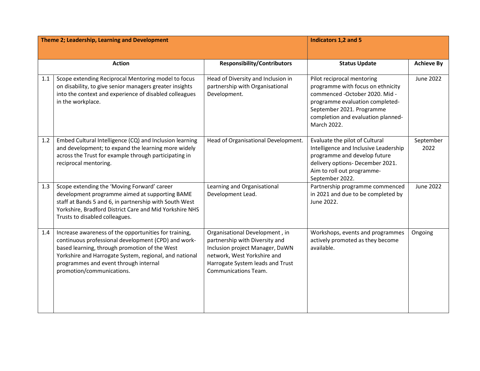| Theme 2; Leadership, Learning and Development |                                                                                                                                                                                                                                                                                               |                                                                                                                                                                                                       | Indicators 1,2 and 5                                                                                                                                                                                                   |                   |
|-----------------------------------------------|-----------------------------------------------------------------------------------------------------------------------------------------------------------------------------------------------------------------------------------------------------------------------------------------------|-------------------------------------------------------------------------------------------------------------------------------------------------------------------------------------------------------|------------------------------------------------------------------------------------------------------------------------------------------------------------------------------------------------------------------------|-------------------|
|                                               |                                                                                                                                                                                                                                                                                               |                                                                                                                                                                                                       |                                                                                                                                                                                                                        |                   |
| <b>Action</b>                                 |                                                                                                                                                                                                                                                                                               | <b>Responsibility/Contributors</b>                                                                                                                                                                    | <b>Status Update</b>                                                                                                                                                                                                   | <b>Achieve By</b> |
| 1.1                                           | Scope extending Reciprocal Mentoring model to focus<br>on disability, to give senior managers greater insights<br>into the context and experience of disabled colleagues<br>in the workplace.                                                                                                 | Head of Diversity and Inclusion in<br>partnership with Organisational<br>Development.                                                                                                                 | Pilot reciprocal mentoring<br>programme with focus on ethnicity<br>commenced -October 2020. Mid -<br>programme evaluation completed-<br>September 2021. Programme<br>completion and evaluation planned-<br>March 2022. | June 2022         |
| 1.2                                           | Embed Cultural Intelligence (CQ) and Inclusion learning<br>and development; to expand the learning more widely<br>across the Trust for example through participating in<br>reciprocal mentoring.                                                                                              | Head of Organisational Development.                                                                                                                                                                   | Evaluate the pilot of Cultural<br>Intelligence and Inclusive Leadership<br>programme and develop future<br>delivery options- December 2021.<br>Aim to roll out programme-<br>September 2022.                           | September<br>2022 |
| 1.3                                           | Scope extending the 'Moving Forward' career<br>development programme aimed at supporting BAME<br>staff at Bands 5 and 6, in partnership with South West<br>Yorkshire, Bradford District Care and Mid Yorkshire NHS<br>Trusts to disabled colleagues.                                          | Learning and Organisational<br>Development Lead.                                                                                                                                                      | Partnership programme commenced<br>in 2021 and due to be completed by<br>June 2022.                                                                                                                                    | June 2022         |
| 1.4                                           | Increase awareness of the opportunities for training,<br>continuous professional development (CPD) and work-<br>based learning, through promotion of the West<br>Yorkshire and Harrogate System, regional, and national<br>programmes and event through internal<br>promotion/communications. | Organisational Development, in<br>partnership with Diversity and<br>Inclusion project Manager, DaWN<br>network, West Yorkshire and<br>Harrogate System leads and Trust<br><b>Communications Team.</b> | Workshops, events and programmes<br>actively promoted as they become<br>available.                                                                                                                                     | Ongoing           |